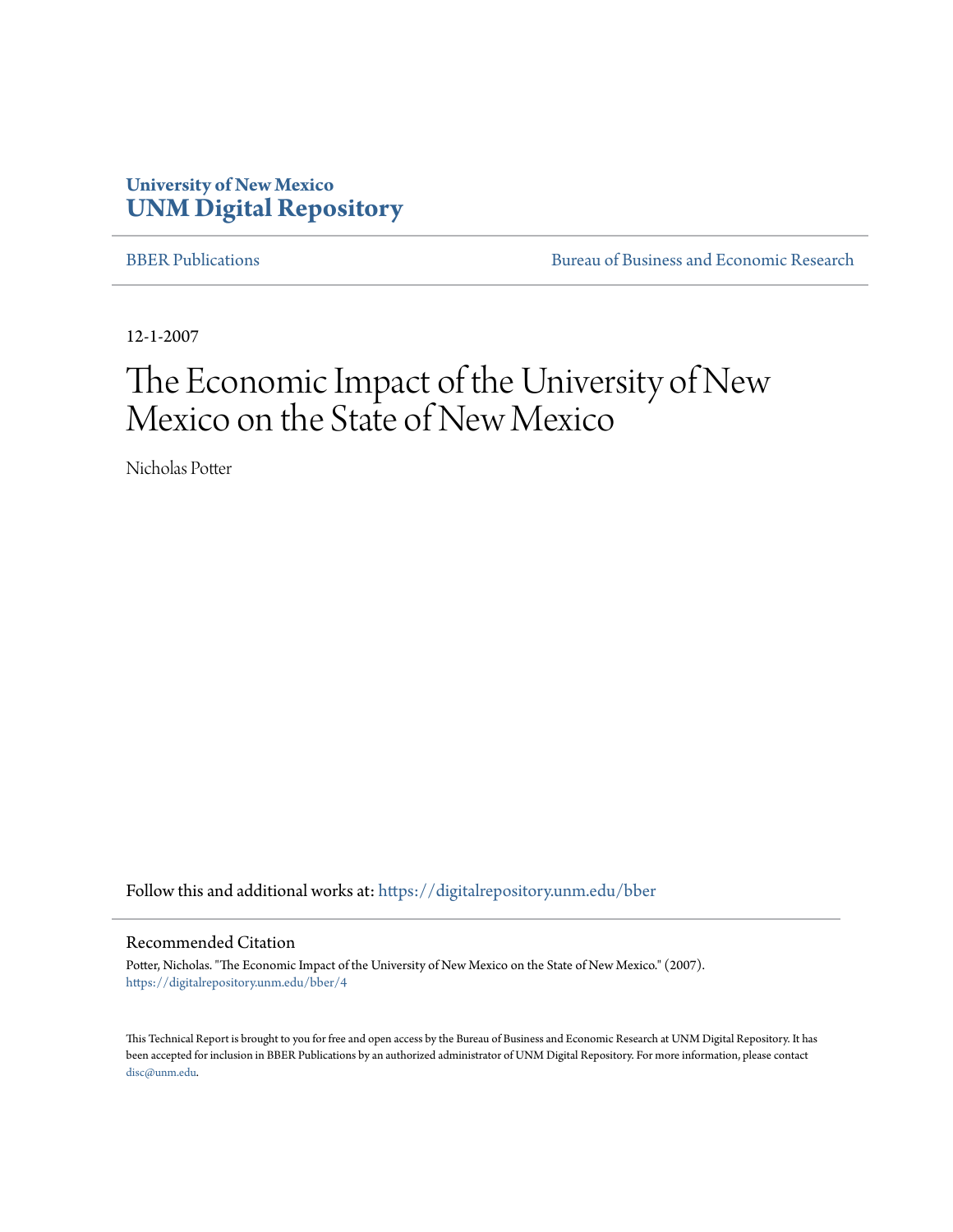## **University of New Mexico [UNM Digital Repository](https://digitalrepository.unm.edu?utm_source=digitalrepository.unm.edu%2Fbber%2F4&utm_medium=PDF&utm_campaign=PDFCoverPages)**

[BBER Publications](https://digitalrepository.unm.edu/bber?utm_source=digitalrepository.unm.edu%2Fbber%2F4&utm_medium=PDF&utm_campaign=PDFCoverPages) [Bureau of Business and Economic Research](https://digitalrepository.unm.edu/business_economic_research?utm_source=digitalrepository.unm.edu%2Fbber%2F4&utm_medium=PDF&utm_campaign=PDFCoverPages)

12-1-2007

# The Economic Impact of the University of New Mexico on the State of New Mexico

Nicholas Potter

Follow this and additional works at: [https://digitalrepository.unm.edu/bber](https://digitalrepository.unm.edu/bber?utm_source=digitalrepository.unm.edu%2Fbber%2F4&utm_medium=PDF&utm_campaign=PDFCoverPages)

#### Recommended Citation

Potter, Nicholas. "The Economic Impact of the University of New Mexico on the State of New Mexico." (2007). [https://digitalrepository.unm.edu/bber/4](https://digitalrepository.unm.edu/bber/4?utm_source=digitalrepository.unm.edu%2Fbber%2F4&utm_medium=PDF&utm_campaign=PDFCoverPages)

This Technical Report is brought to you for free and open access by the Bureau of Business and Economic Research at UNM Digital Repository. It has been accepted for inclusion in BBER Publications by an authorized administrator of UNM Digital Repository. For more information, please contact [disc@unm.edu](mailto:disc@unm.edu).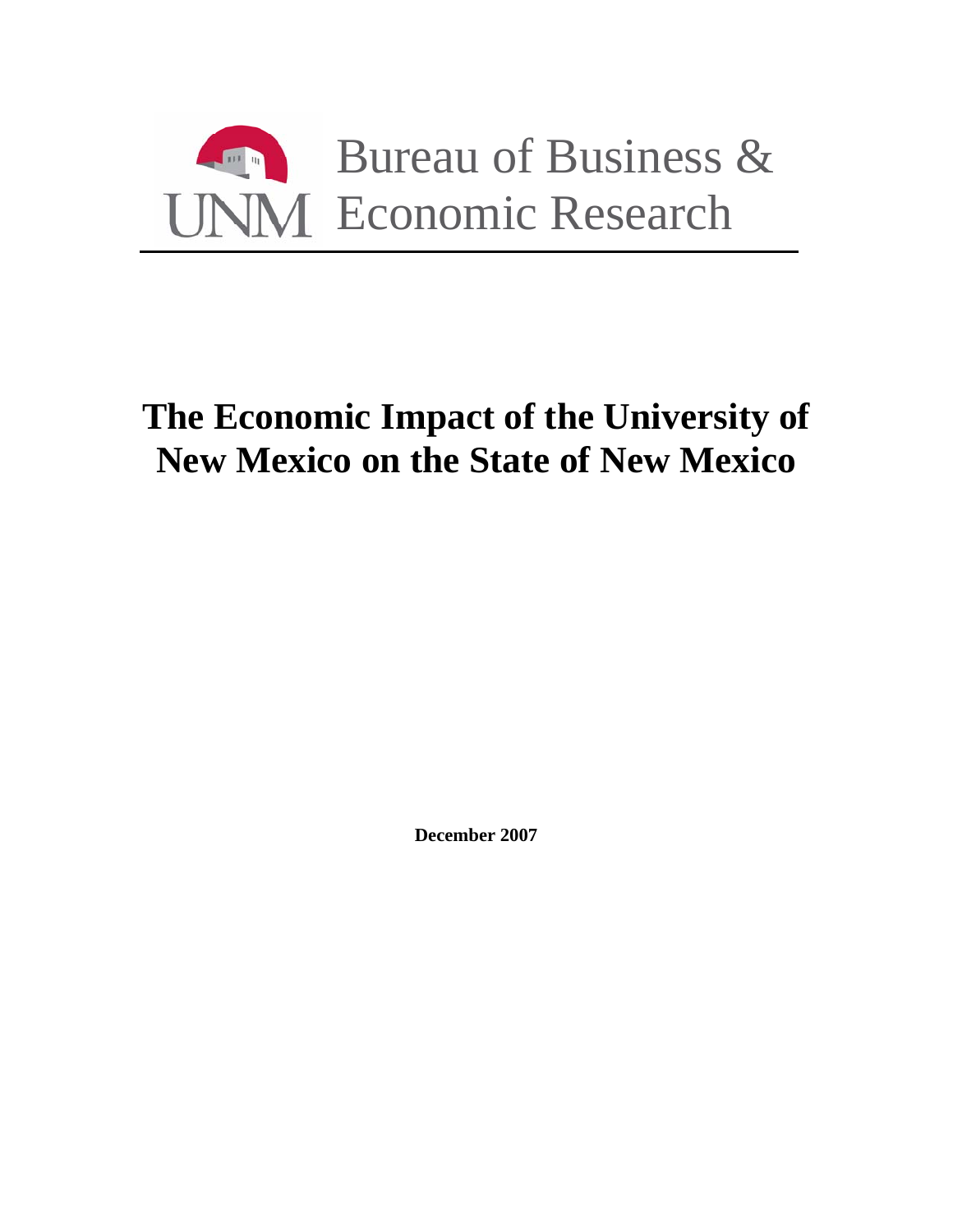

# **The Economic Impact of the University of New Mexico on the State of New Mexico**

**December 2007**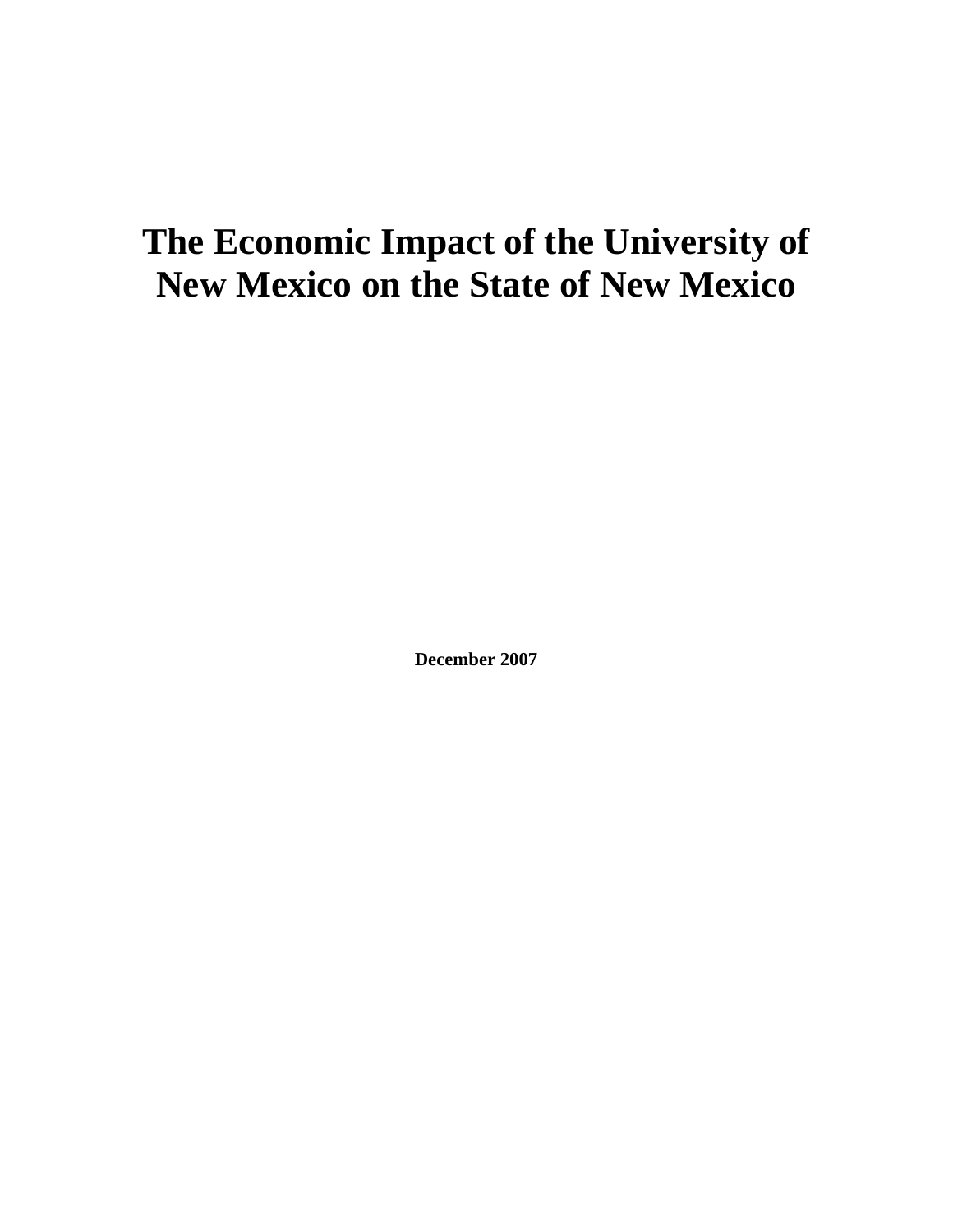# **The Economic Impact of the University of New Mexico on the State of New Mexico**

**December 2007**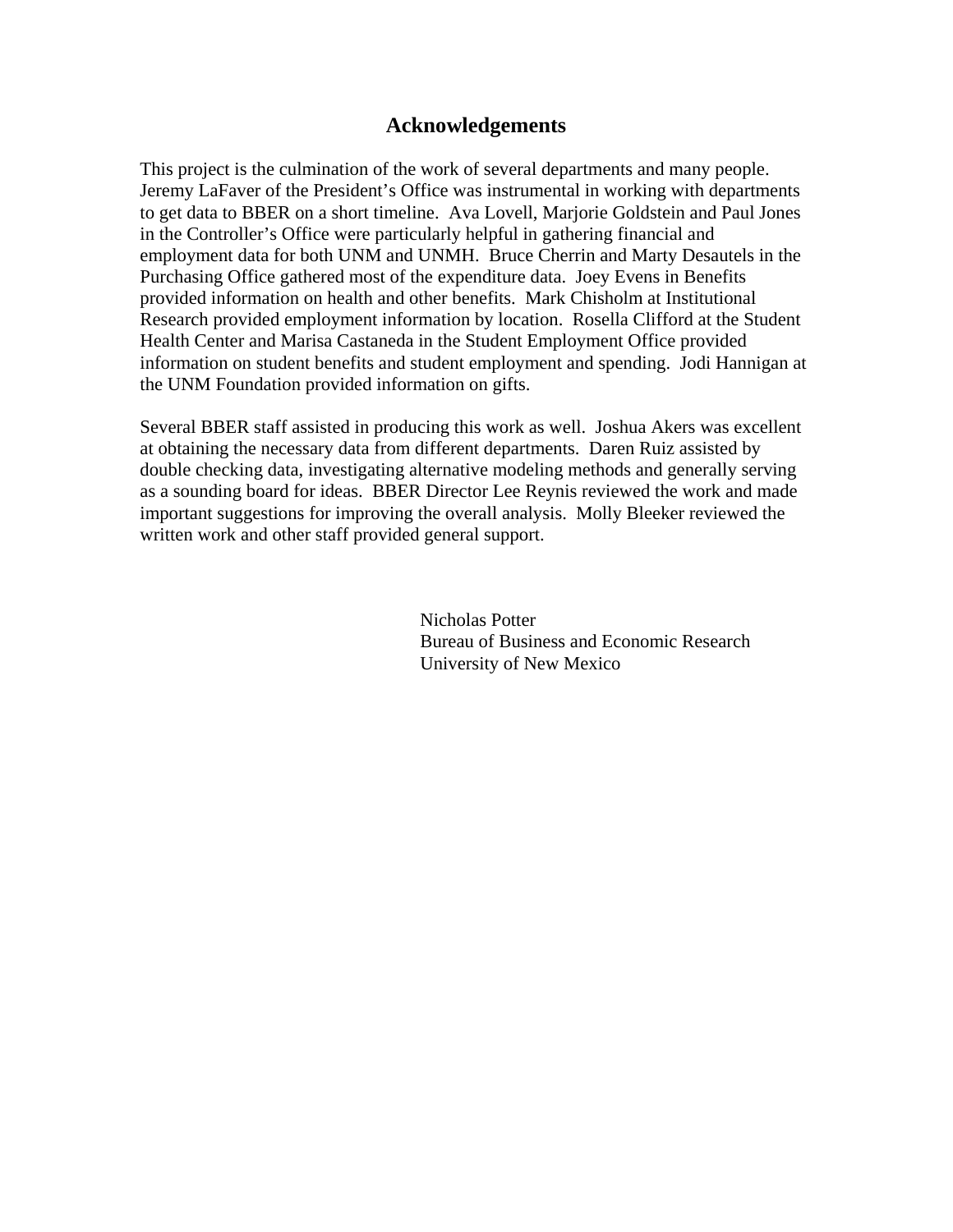### **Acknowledgements**

This project is the culmination of the work of several departments and many people. Jeremy LaFaver of the President's Office was instrumental in working with departments to get data to BBER on a short timeline. Ava Lovell, Marjorie Goldstein and Paul Jones in the Controller's Office were particularly helpful in gathering financial and employment data for both UNM and UNMH. Bruce Cherrin and Marty Desautels in the Purchasing Office gathered most of the expenditure data. Joey Evens in Benefits provided information on health and other benefits. Mark Chisholm at Institutional Research provided employment information by location. Rosella Clifford at the Student Health Center and Marisa Castaneda in the Student Employment Office provided information on student benefits and student employment and spending. Jodi Hannigan at the UNM Foundation provided information on gifts.

Several BBER staff assisted in producing this work as well. Joshua Akers was excellent at obtaining the necessary data from different departments. Daren Ruiz assisted by double checking data, investigating alternative modeling methods and generally serving as a sounding board for ideas. BBER Director Lee Reynis reviewed the work and made important suggestions for improving the overall analysis. Molly Bleeker reviewed the written work and other staff provided general support.

> Nicholas Potter Bureau of Business and Economic Research University of New Mexico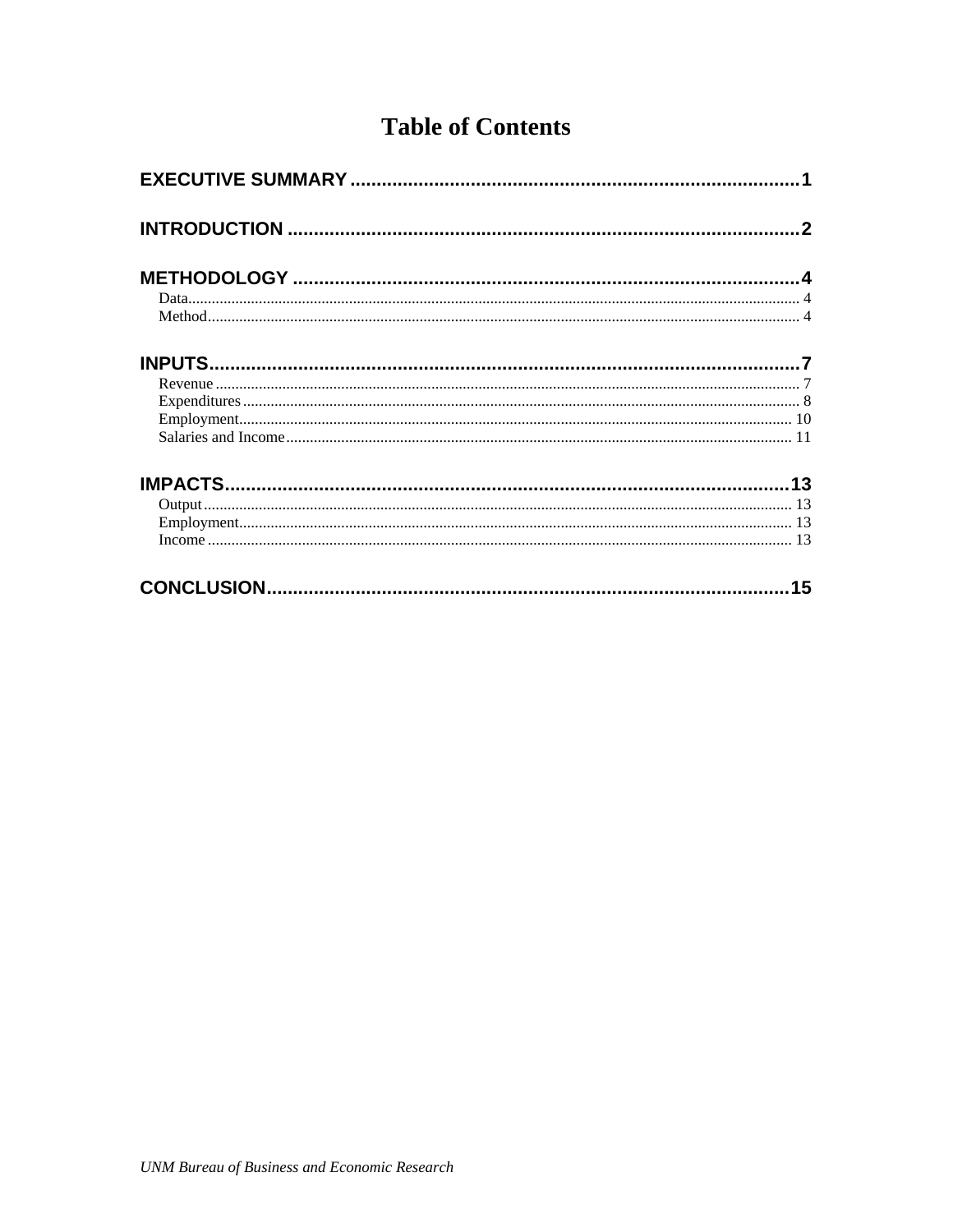## **Table of Contents**

|  | 15 |  |  |  |  |  |
|--|----|--|--|--|--|--|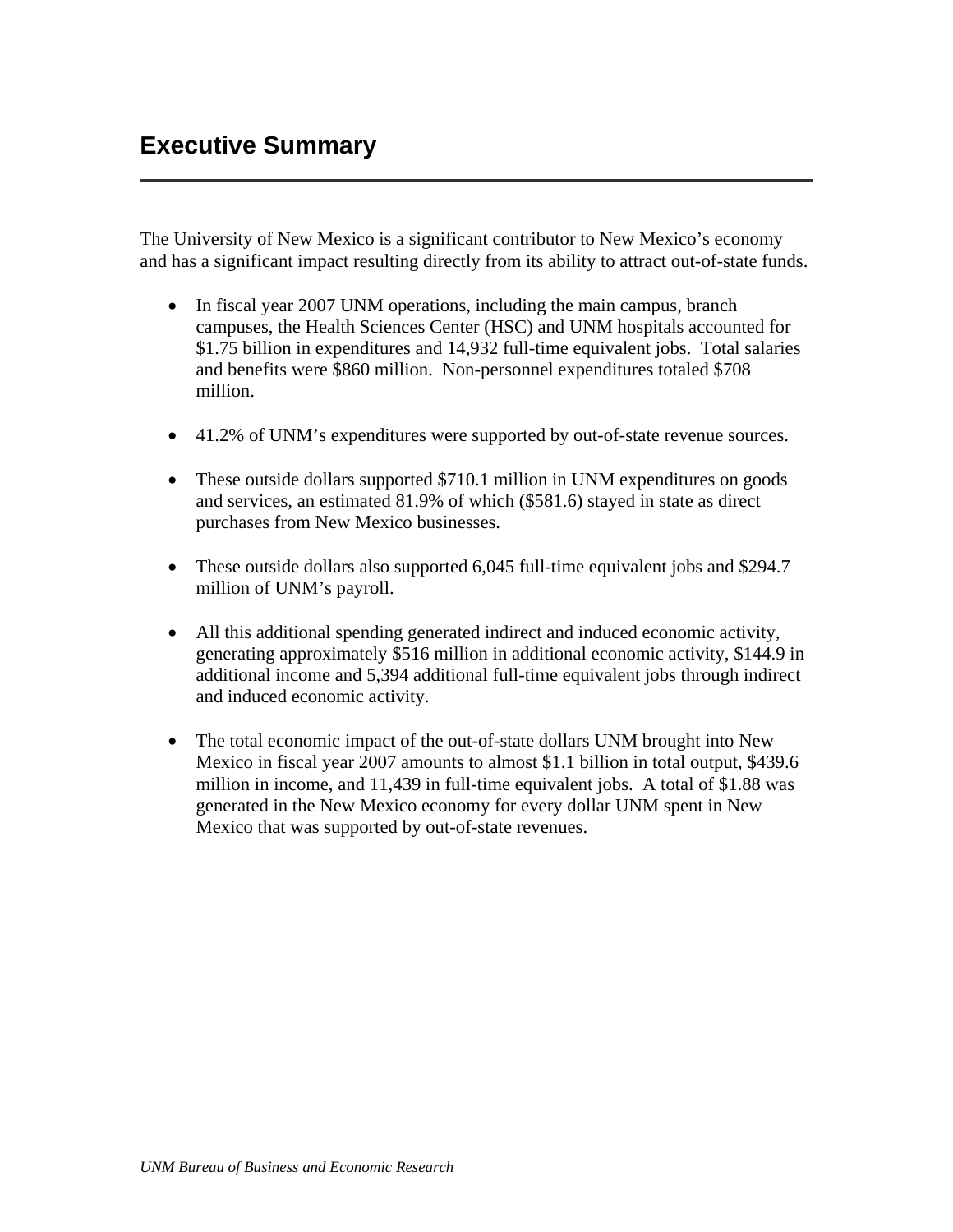<span id="page-5-0"></span>The University of New Mexico is a significant contributor to New Mexico's economy and has a significant impact resulting directly from its ability to attract out-of-state funds.

- In fiscal year 2007 UNM operations, including the main campus, branch campuses, the Health Sciences Center (HSC) and UNM hospitals accounted for \$1.75 billion in expenditures and 14,932 full-time equivalent jobs. Total salaries and benefits were \$860 million. Non-personnel expenditures totaled \$708 million.
- 41.2% of UNM's expenditures were supported by out-of-state revenue sources.
- These outside dollars supported \$710.1 million in UNM expenditures on goods and services, an estimated 81.9% of which (\$581.6) stayed in state as direct purchases from New Mexico businesses.
- These outside dollars also supported 6,045 full-time equivalent jobs and \$294.7 million of UNM's payroll.
- All this additional spending generated indirect and induced economic activity, generating approximately \$516 million in additional economic activity, \$144.9 in additional income and 5,394 additional full-time equivalent jobs through indirect and induced economic activity.
- The total economic impact of the out-of-state dollars UNM brought into New Mexico in fiscal year 2007 amounts to almost \$1.1 billion in total output, \$439.6 million in income, and 11,439 in full-time equivalent jobs. A total of \$1.88 was generated in the New Mexico economy for every dollar UNM spent in New Mexico that was supported by out-of-state revenues.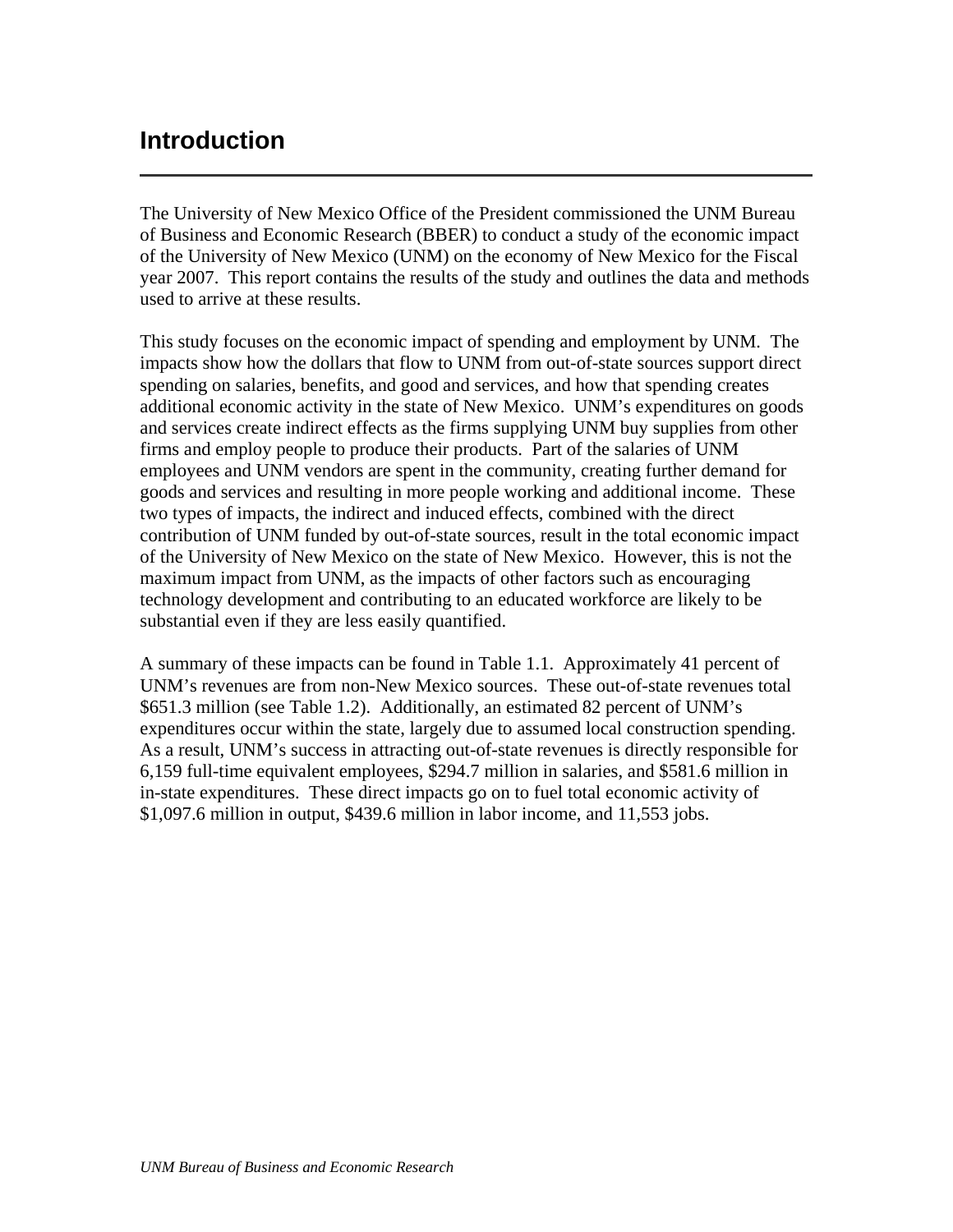## <span id="page-6-0"></span>**Introduction**

The University of New Mexico Office of the President commissioned the UNM Bureau of Business and Economic Research (BBER) to conduct a study of the economic impact of the University of New Mexico (UNM) on the economy of New Mexico for the Fiscal year 2007. This report contains the results of the study and outlines the data and methods used to arrive at these results.

This study focuses on the economic impact of spending and employment by UNM. The impacts show how the dollars that flow to UNM from out-of-state sources support direct spending on salaries, benefits, and good and services, and how that spending creates additional economic activity in the state of New Mexico. UNM's expenditures on goods and services create indirect effects as the firms supplying UNM buy supplies from other firms and employ people to produce their products. Part of the salaries of UNM employees and UNM vendors are spent in the community, creating further demand for goods and services and resulting in more people working and additional income. These two types of impacts, the indirect and induced effects, combined with the direct contribution of UNM funded by out-of-state sources, result in the total economic impact of the University of New Mexico on the state of New Mexico. However, this is not the maximum impact from UNM, as the impacts of other factors such as encouraging technology development and contributing to an educated workforce are likely to be substantial even if they are less easily quantified.

A summary of these impacts can be found in Table 1.1. Approximately 41 percent of UNM's revenues are from non-New Mexico sources. These out-of-state revenues total \$651.3 million (see Table 1.2). Additionally, an estimated 82 percent of UNM's expenditures occur within the state, largely due to assumed local construction spending. As a result, UNM's success in attracting out-of-state revenues is directly responsible for 6,159 full-time equivalent employees, \$294.7 million in salaries, and \$581.6 million in in-state expenditures. These direct impacts go on to fuel total economic activity of \$1,097.6 million in output, \$439.6 million in labor income, and 11,553 jobs.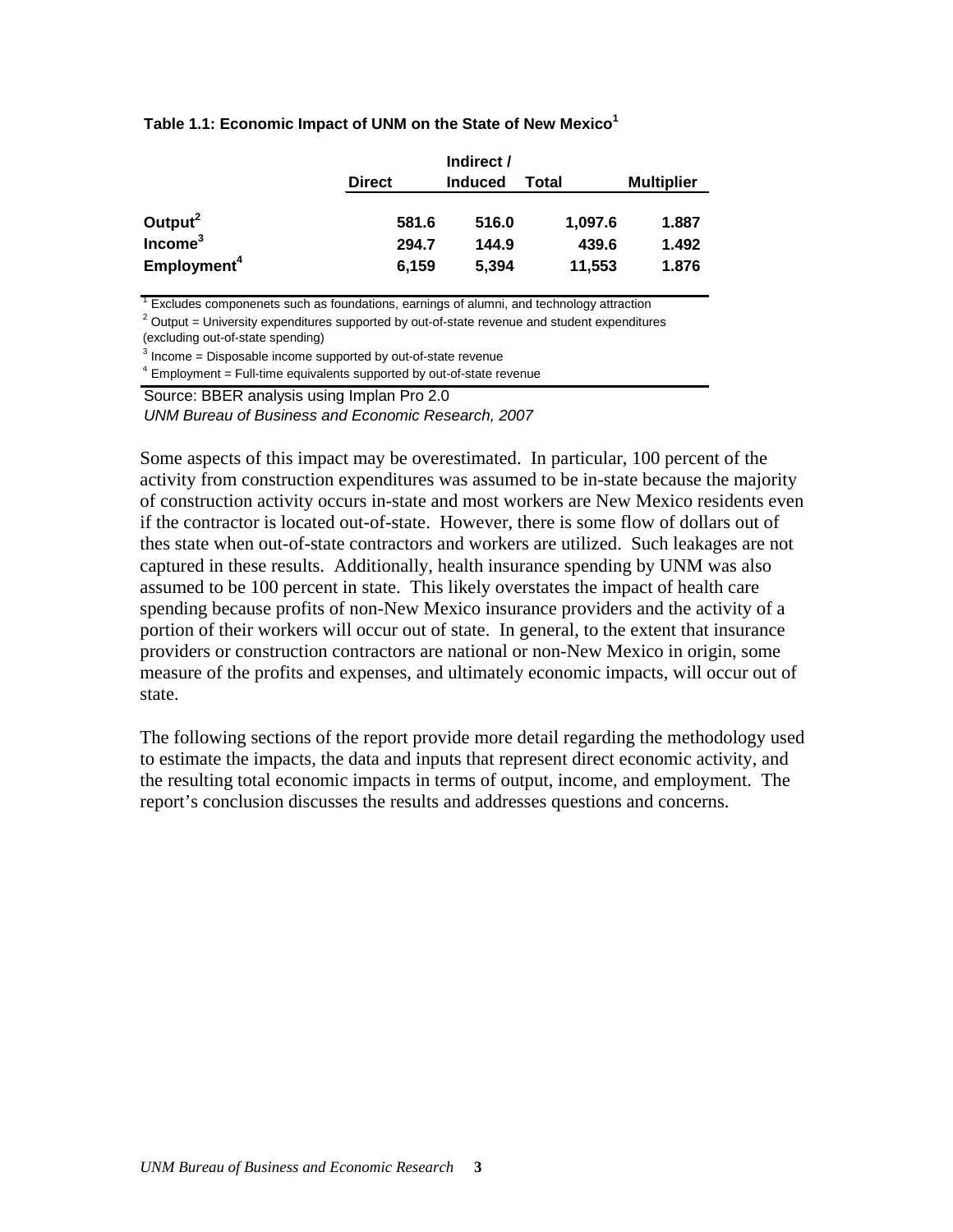#### **Table 1.1: Economic Impact of UNM on the State of New Mexico<sup>1</sup>**

|                         |               | Indirect /     |         |                   |
|-------------------------|---------------|----------------|---------|-------------------|
|                         | <b>Direct</b> | <b>Induced</b> | Total   | <b>Multiplier</b> |
| Output <sup>2</sup>     | 581.6         | 516.0          | 1,097.6 | 1.887             |
| Income <sup>3</sup>     | 294.7         | 144.9          | 439.6   | 1.492             |
| Employment <sup>4</sup> | 6,159         | 5.394          | 11,553  | 1.876             |

<sup>1</sup> Excludes componenets such as foundations, earnings of alumni, and technology attraction

 $2$  Output = University expenditures supported by out-of-state revenue and student expenditures

(excluding out-of-state spending)

 $3$  Income = Disposable income supported by out-of-state revenue

 $4$  Employment = Full-time equivalents supported by out-of-state revenue

Source: BBER analysis using Implan Pro 2.0 *UNM Bureau of Business and Economic Research, 2007*

Some aspects of this impact may be overestimated. In particular, 100 percent of the activity from construction expenditures was assumed to be in-state because the majority of construction activity occurs in-state and most workers are New Mexico residents even if the contractor is located out-of-state. However, there is some flow of dollars out of thes state when out-of-state contractors and workers are utilized. Such leakages are not captured in these results. Additionally, health insurance spending by UNM was also assumed to be 100 percent in state. This likely overstates the impact of health care spending because profits of non-New Mexico insurance providers and the activity of a portion of their workers will occur out of state. In general, to the extent that insurance providers or construction contractors are national or non-New Mexico in origin, some measure of the profits and expenses, and ultimately economic impacts, will occur out of state.

The following sections of the report provide more detail regarding the methodology used to estimate the impacts, the data and inputs that represent direct economic activity, and the resulting total economic impacts in terms of output, income, and employment. The report's conclusion discusses the results and addresses questions and concerns.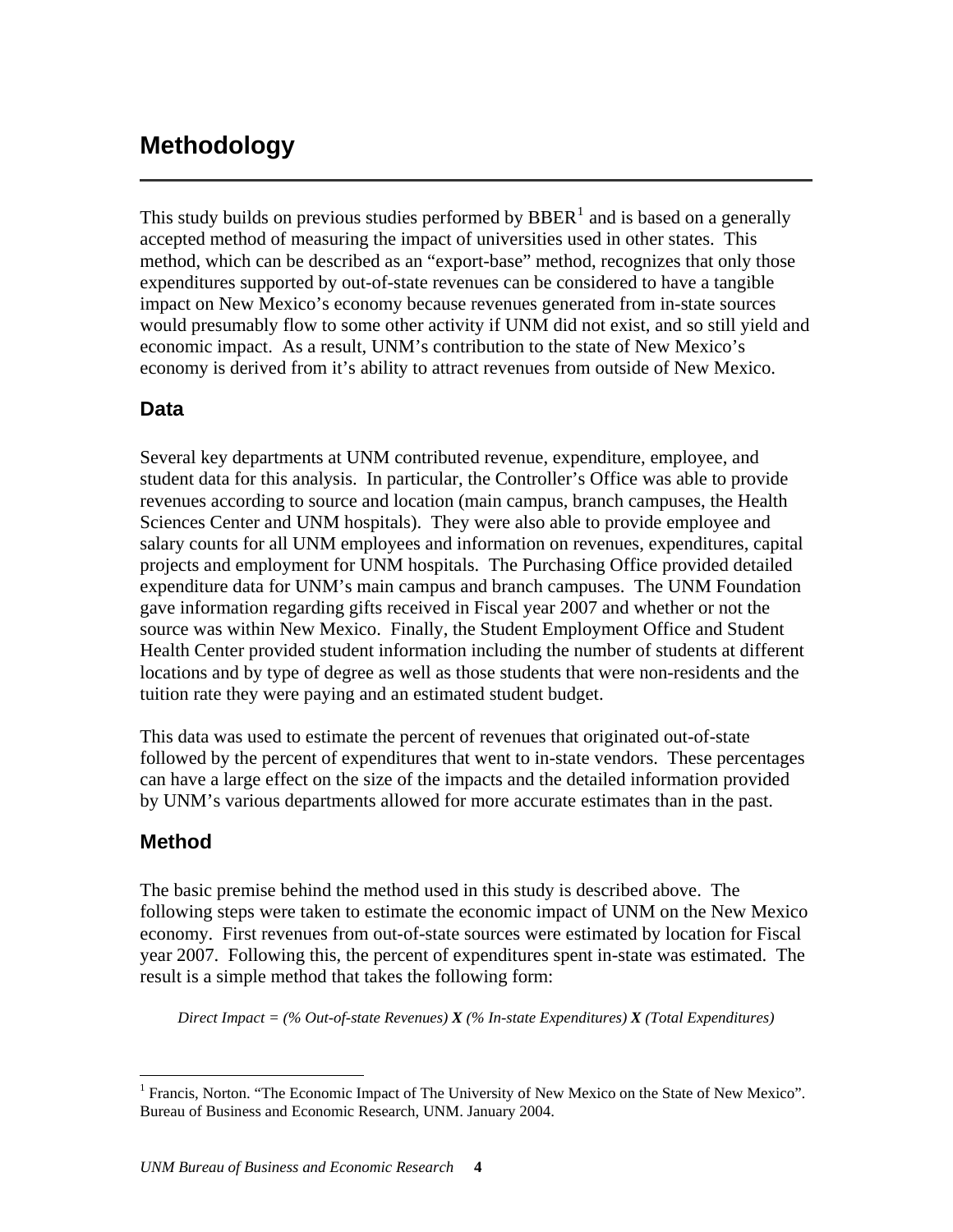## <span id="page-8-0"></span>**Methodology**

This study builds on previous studies performed by  $BBER<sup>1</sup>$  $BBER<sup>1</sup>$  $BBER<sup>1</sup>$  and is based on a generally accepted method of measuring the impact of universities used in other states. This method, which can be described as an "export-base" method, recognizes that only those expenditures supported by out-of-state revenues can be considered to have a tangible impact on New Mexico's economy because revenues generated from in-state sources would presumably flow to some other activity if UNM did not exist, and so still yield and economic impact. As a result, UNM's contribution to the state of New Mexico's economy is derived from it's ability to attract revenues from outside of New Mexico.

## **Data**

Several key departments at UNM contributed revenue, expenditure, employee, and student data for this analysis. In particular, the Controller's Office was able to provide revenues according to source and location (main campus, branch campuses, the Health Sciences Center and UNM hospitals). They were also able to provide employee and salary counts for all UNM employees and information on revenues, expenditures, capital projects and employment for UNM hospitals. The Purchasing Office provided detailed expenditure data for UNM's main campus and branch campuses. The UNM Foundation gave information regarding gifts received in Fiscal year 2007 and whether or not the source was within New Mexico. Finally, the Student Employment Office and Student Health Center provided student information including the number of students at different locations and by type of degree as well as those students that were non-residents and the tuition rate they were paying and an estimated student budget.

This data was used to estimate the percent of revenues that originated out-of-state followed by the percent of expenditures that went to in-state vendors. These percentages can have a large effect on the size of the impacts and the detailed information provided by UNM's various departments allowed for more accurate estimates than in the past.

### **Method**

 $\overline{a}$ 

The basic premise behind the method used in this study is described above. The following steps were taken to estimate the economic impact of UNM on the New Mexico economy. First revenues from out-of-state sources were estimated by location for Fiscal year 2007. Following this, the percent of expenditures spent in-state was estimated. The result is a simple method that takes the following form:

*Direct Impact = (% Out-of-state Revenues) X (% In-state Expenditures) X (Total Expenditures)* 

<span id="page-8-1"></span><sup>&</sup>lt;sup>1</sup> Francis, Norton. "The Economic Impact of The University of New Mexico on the State of New Mexico". Bureau of Business and Economic Research, UNM. January 2004.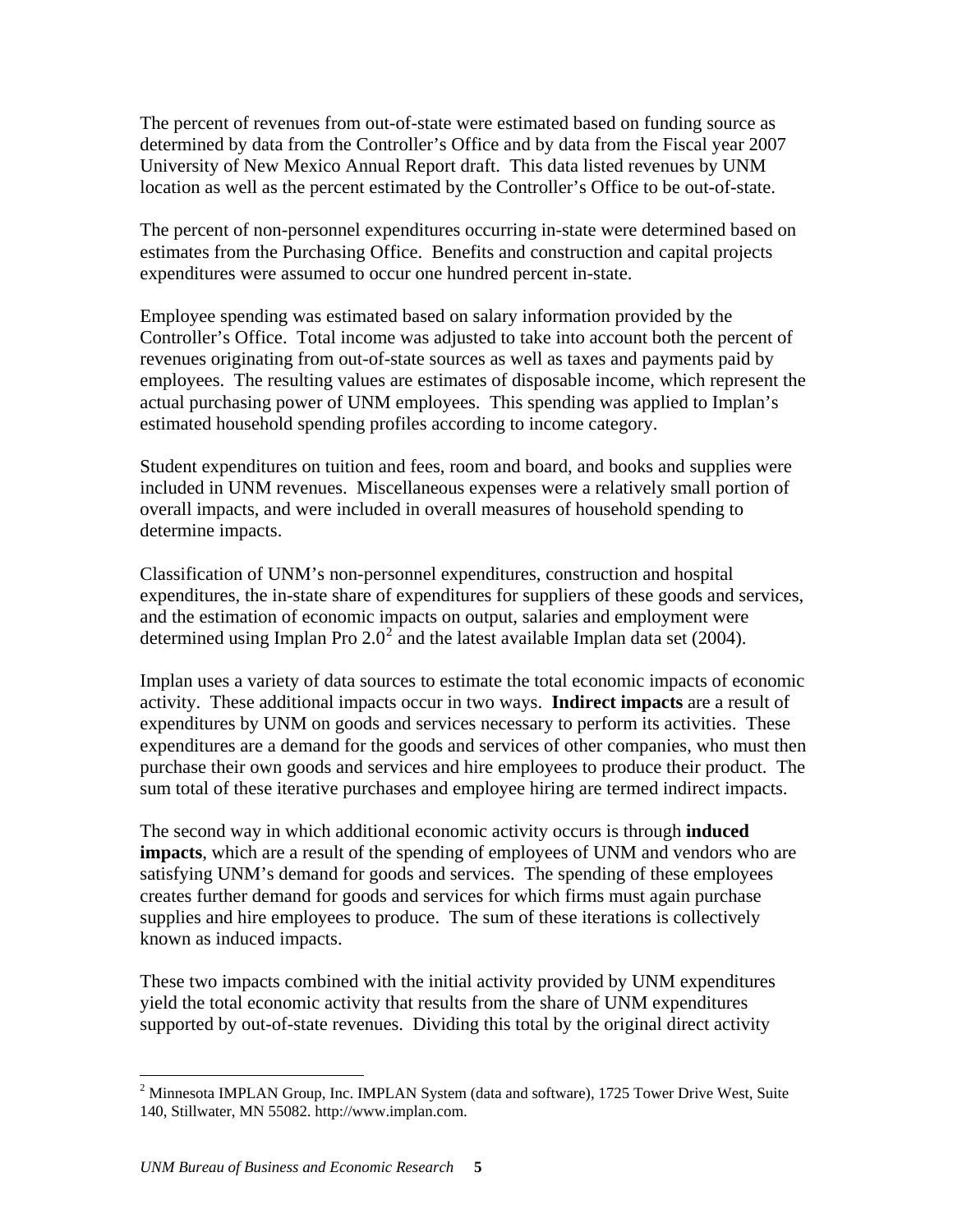The percent of revenues from out-of-state were estimated based on funding source as determined by data from the Controller's Office and by data from the Fiscal year 2007 University of New Mexico Annual Report draft. This data listed revenues by UNM location as well as the percent estimated by the Controller's Office to be out-of-state.

The percent of non-personnel expenditures occurring in-state were determined based on estimates from the Purchasing Office. Benefits and construction and capital projects expenditures were assumed to occur one hundred percent in-state.

Employee spending was estimated based on salary information provided by the Controller's Office. Total income was adjusted to take into account both the percent of revenues originating from out-of-state sources as well as taxes and payments paid by employees. The resulting values are estimates of disposable income, which represent the actual purchasing power of UNM employees. This spending was applied to Implan's estimated household spending profiles according to income category.

Student expenditures on tuition and fees, room and board, and books and supplies were included in UNM revenues. Miscellaneous expenses were a relatively small portion of overall impacts, and were included in overall measures of household spending to determine impacts.

Classification of UNM's non-personnel expenditures, construction and hospital expenditures, the in-state share of expenditures for suppliers of these goods and services, and the estimation of economic impacts on output, salaries and employment were determined using Implan Pro  $2.0^2$  $2.0^2$  and the latest available Implan data set (2004).

Implan uses a variety of data sources to estimate the total economic impacts of economic activity. These additional impacts occur in two ways. **Indirect impacts** are a result of expenditures by UNM on goods and services necessary to perform its activities. These expenditures are a demand for the goods and services of other companies, who must then purchase their own goods and services and hire employees to produce their product. The sum total of these iterative purchases and employee hiring are termed indirect impacts.

The second way in which additional economic activity occurs is through **induced impacts**, which are a result of the spending of employees of UNM and vendors who are satisfying UNM's demand for goods and services. The spending of these employees creates further demand for goods and services for which firms must again purchase supplies and hire employees to produce. The sum of these iterations is collectively known as induced impacts.

These two impacts combined with the initial activity provided by UNM expenditures yield the total economic activity that results from the share of UNM expenditures supported by out-of-state revenues. Dividing this total by the original direct activity

 $\overline{a}$ 

<span id="page-9-0"></span><sup>&</sup>lt;sup>2</sup> Minnesota IMPLAN Group, Inc. IMPLAN System (data and software), 1725 Tower Drive West, Suite 140, Stillwater, MN 55082. http://www.implan.com.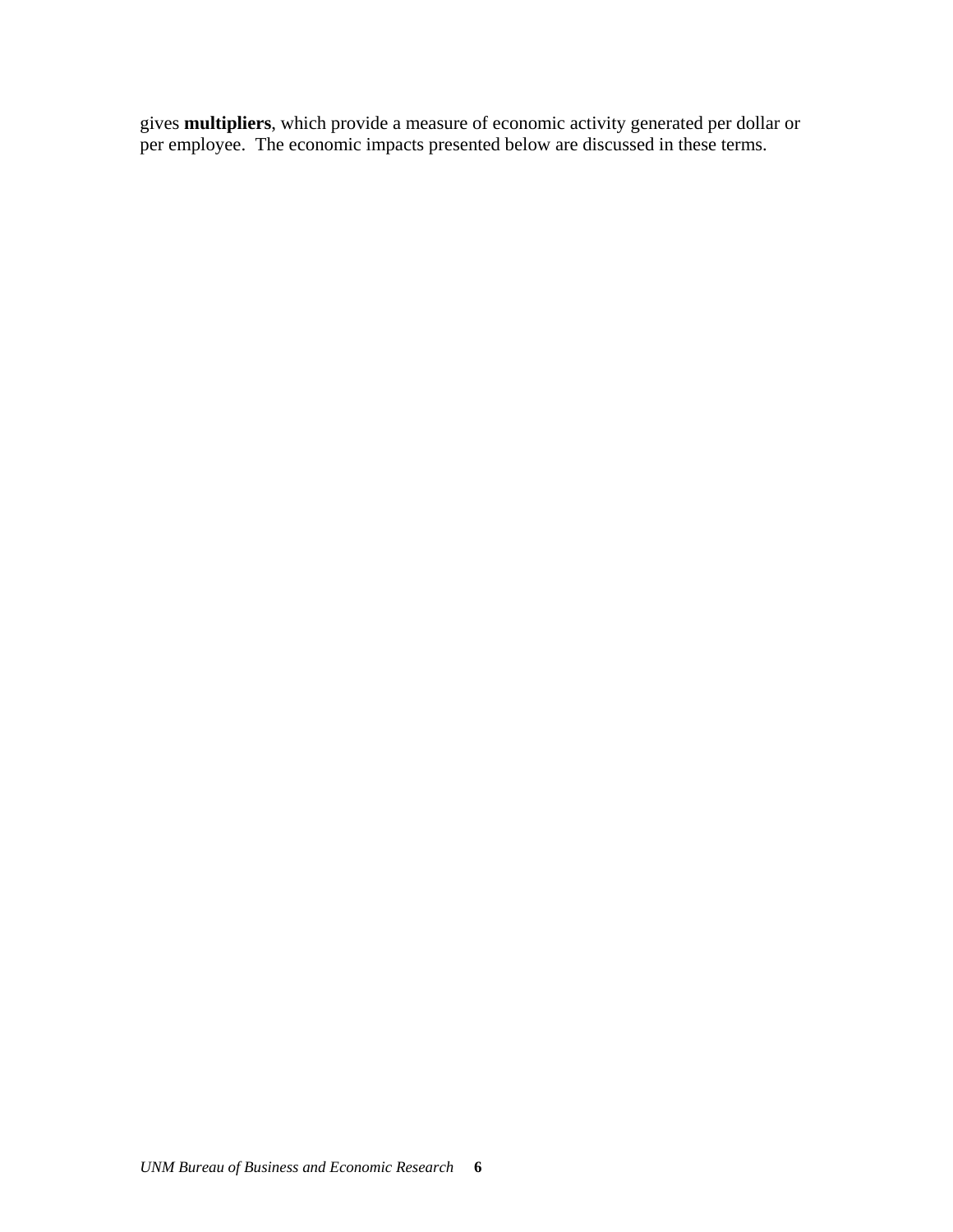gives **multipliers**, which provide a measure of economic activity generated per dollar or per employee. The economic impacts presented below are discussed in these terms.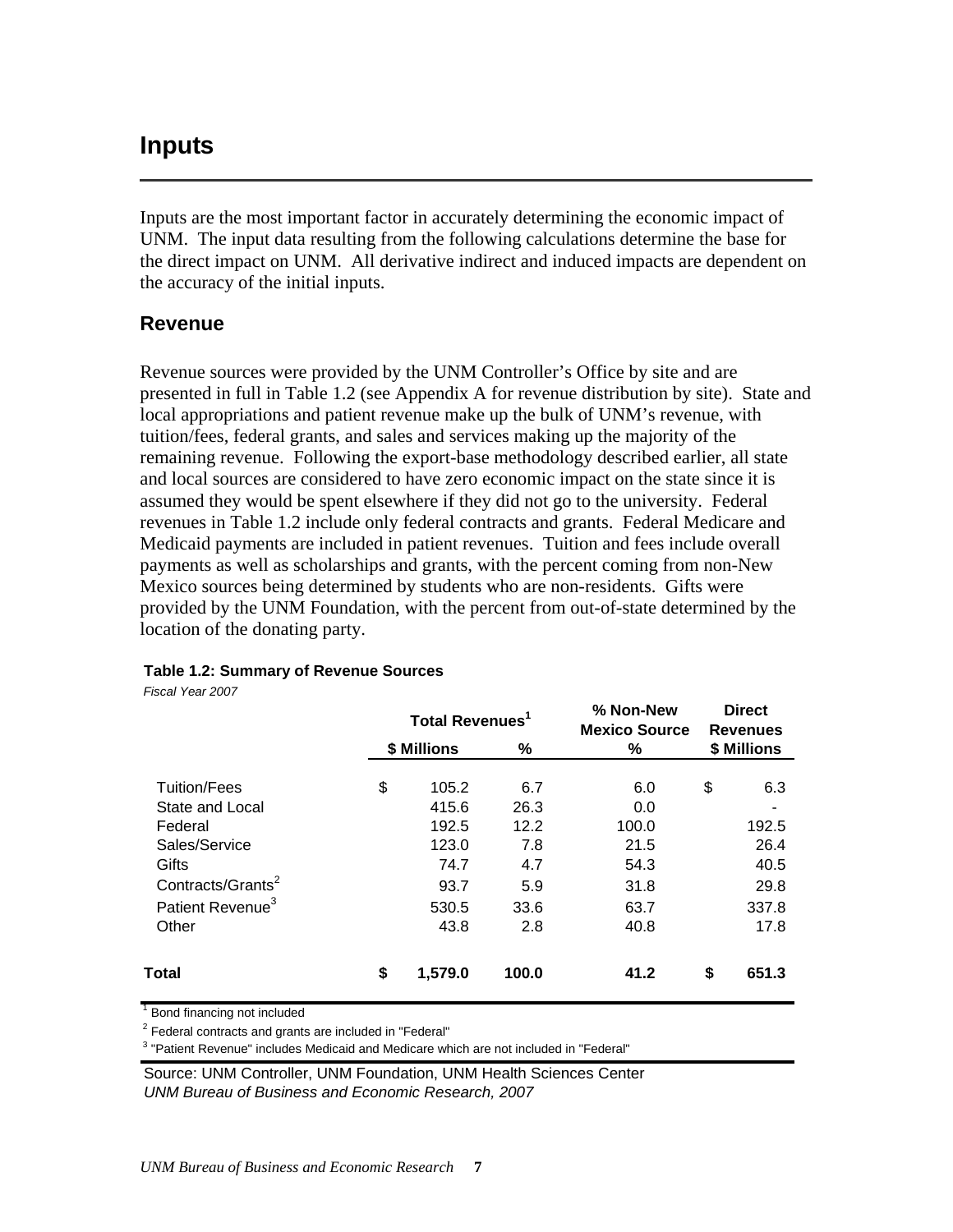## <span id="page-11-0"></span>**Inputs**

Inputs are the most important factor in accurately determining the economic impact of UNM. The input data resulting from the following calculations determine the base for the direct impact on UNM. All derivative indirect and induced impacts are dependent on the accuracy of the initial inputs.

## **Revenue**

Revenue sources were provided by the UNM Controller's Office by site and are presented in full in Table 1.2 (see Appendix A for revenue distribution by site). State and local appropriations and patient revenue make up the bulk of UNM's revenue, with tuition/fees, federal grants, and sales and services making up the majority of the remaining revenue. Following the export-base methodology described earlier, all state and local sources are considered to have zero economic impact on the state since it is assumed they would be spent elsewhere if they did not go to the university. Federal revenues in Table 1.2 include only federal contracts and grants. Federal Medicare and Medicaid payments are included in patient revenues. Tuition and fees include overall payments as well as scholarships and grants, with the percent coming from non-New Mexico sources being determined by students who are non-residents. Gifts were provided by the UNM Foundation, with the percent from out-of-state determined by the location of the donating party.

|                                                                        | Total Revenues <sup>1</sup> |                    | % Non-New<br><b>Mexico Source</b> | <b>Direct</b><br><b>Revenues</b> |                       |
|------------------------------------------------------------------------|-----------------------------|--------------------|-----------------------------------|----------------------------------|-----------------------|
|                                                                        | \$ Millions                 | %                  | %                                 |                                  | \$ Millions           |
| Tuition/Fees<br>State and Local                                        | \$<br>105.2<br>415.6        | 6.7<br>26.3        | 6.0<br>0.0                        | \$                               | 6.3                   |
| Federal<br>Sales/Service<br>Gifts                                      | 192.5<br>123.0<br>74.7      | 12.2<br>7.8<br>4.7 | 100.0<br>21.5<br>54.3             |                                  | 192.5<br>26.4<br>40.5 |
| Contracts/Grants <sup>2</sup><br>Patient Revenue <sup>3</sup><br>Other | 93.7<br>530.5<br>43.8       | 5.9<br>33.6<br>2.8 | 31.8<br>63.7<br>40.8              |                                  | 29.8<br>337.8<br>17.8 |
| Total                                                                  | \$<br>1,579.0               | 100.0              | 41.2                              | S                                | 651.3                 |

#### **Table 1.2: Summary of Revenue Sources**

*Fiscal Year 2007*

<sup>1</sup> Bond financing not included

 $2$  Federal contracts and grants are included in "Federal"

<sup>3</sup> "Patient Revenue" includes Medicaid and Medicare which are not included in "Federal"

Source: UNM Controller, UNM Foundation, UNM Health Sciences Center *UNM Bureau of Business and Economic Research, 2007*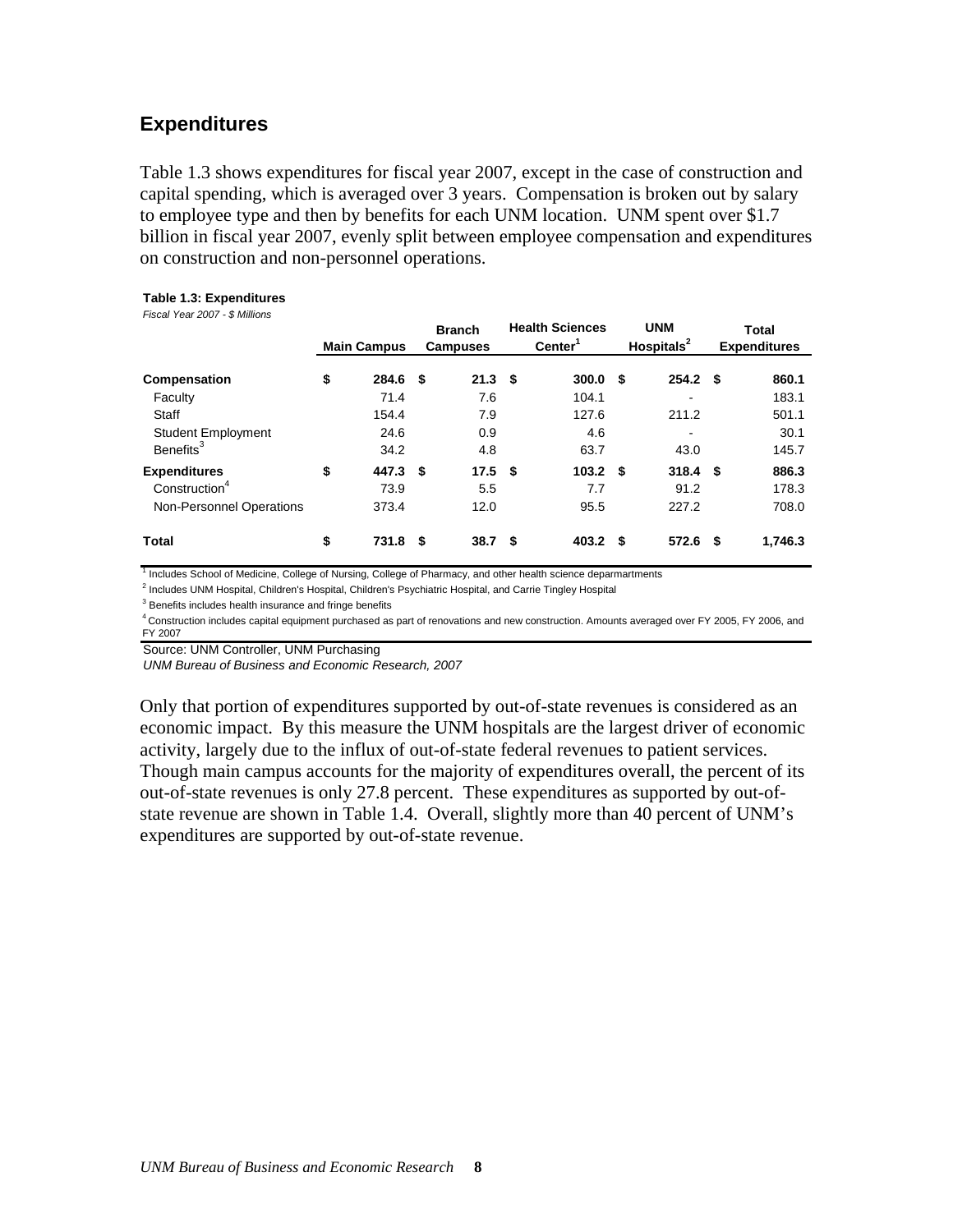## <span id="page-12-0"></span>**Expenditures**

Table 1.3 shows expenditures for fiscal year 2007, except in the case of construction and capital spending, which is averaged over 3 years. Compensation is broken out by salary to employee type and then by benefits for each UNM location. UNM spent over \$1.7 billion in fiscal year 2007, evenly split between employee compensation and expenditures on construction and non-personnel operations.

#### **Table 1.3: Expenditures**

*Fiscal Year 2007 - \$ Millions*

|                                                                              | <b>Main Campus</b>           |    | <b>Branch</b><br><b>Campuses</b> |      | <b>Health Sciences</b><br>Center <sup>1</sup> |      | <b>UNM</b><br>Hospitals $2$ |   | <b>Total</b><br><b>Expenditures</b> |
|------------------------------------------------------------------------------|------------------------------|----|----------------------------------|------|-----------------------------------------------|------|-----------------------------|---|-------------------------------------|
| Compensation<br>Faculty<br>Staff                                             | \$<br>284.6<br>71.4<br>154.4 | \$ | 21.3<br>7.6<br>7.9               | - \$ | 300.0<br>104.1<br>127.6                       | \$   | 254.2 <sup>5</sup><br>211.2 |   | 860.1<br>183.1<br>501.1             |
| <b>Student Employment</b><br>Benefits <sup>3</sup>                           | 24.6<br>34.2                 |    | 0.9<br>4.8                       |      | 4.6<br>63.7                                   |      | 43.0                        |   | 30.1<br>145.7                       |
| <b>Expenditures</b><br>Construction <sup>4</sup><br>Non-Personnel Operations | \$<br>447.3<br>73.9<br>373.4 | \$ | 17.5<br>5.5<br>12.0              | -\$  | 103.2<br>7.7<br>95.5                          | - \$ | $318.4$ \$<br>91.2<br>227.2 |   | 886.3<br>178.3<br>708.0             |
| <b>Total</b>                                                                 | \$<br>731.8                  | S  | 38.7                             | S    | 403.2                                         | S.   | 572.6                       | S | 1,746.3                             |

<sup>1</sup> Includes School of Medicine, College of Nursing, College of Pharmacy, and other health science deparmartments

<sup>2</sup> Includes UNM Hospital, Children's Hospital, Children's Psychiatric Hospital, and Carrie Tingley Hospital

<sup>3</sup> Benefits includes health insurance and fringe benefits

4 Construction includes capital equipment purchased as part of renovations and new construction. Amounts averaged over FY 2005, FY 2006, and FY 2007

Source: UNM Controller, UNM Purchasing

*UNM Bureau of Business and Economic Research, 2007*

Only that portion of expenditures supported by out-of-state revenues is considered as an economic impact. By this measure the UNM hospitals are the largest driver of economic activity, largely due to the influx of out-of-state federal revenues to patient services. Though main campus accounts for the majority of expenditures overall, the percent of its out-of-state revenues is only 27.8 percent. These expenditures as supported by out-ofstate revenue are shown in Table 1.4. Overall, slightly more than 40 percent of UNM's expenditures are supported by out-of-state revenue.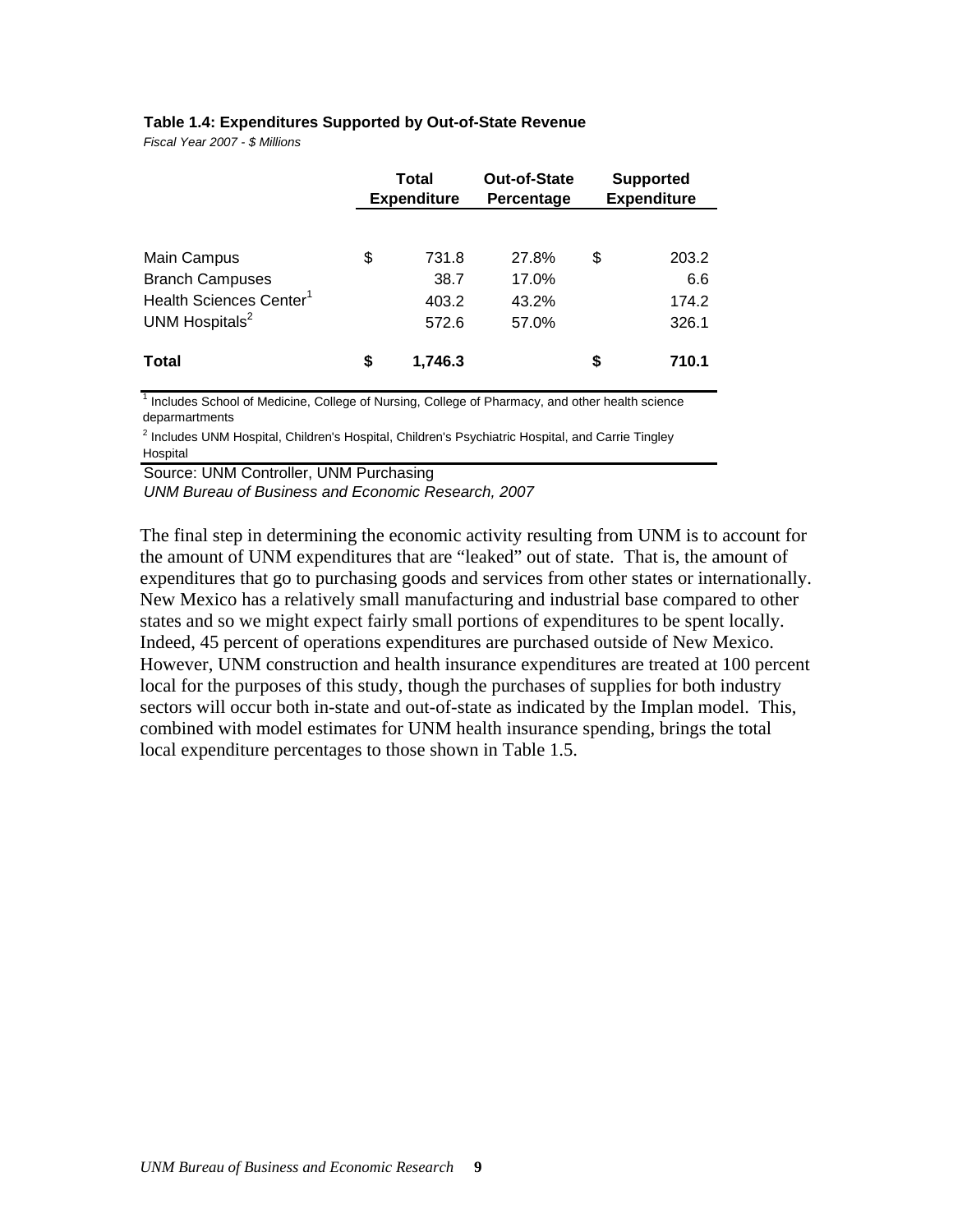#### **Table 1.4: Expenditures Supported by Out-of-State Revenue**

*Fiscal Year 2007 - \$ Millions*

|                                     | Total<br><b>Expenditure</b> |         | Out-of-State<br>Percentage | <b>Supported</b><br><b>Expenditure</b> |       |
|-------------------------------------|-----------------------------|---------|----------------------------|----------------------------------------|-------|
|                                     |                             |         |                            |                                        |       |
| Main Campus                         | \$                          | 731.8   | 27.8%                      | \$                                     | 203.2 |
| <b>Branch Campuses</b>              |                             | 38.7    | 17.0%                      |                                        | 6.6   |
| Health Sciences Center <sup>1</sup> |                             | 403.2   | 43.2%                      |                                        | 174.2 |
| UNM Hospitals <sup>2</sup>          |                             | 572.6   | 57.0%                      |                                        | 326.1 |
| <b>Total</b>                        | \$                          | 1,746.3 |                            | S                                      | 710.1 |

<sup>1</sup> Includes School of Medicine, College of Nursing, College of Pharmacy, and other health science deparmartments

<sup>2</sup> Includes UNM Hospital, Children's Hospital, Children's Psychiatric Hospital, and Carrie Tingley Hospital

Source: UNM Controller, UNM Purchasing

*UNM Bureau of Business and Economic Research, 2007*

The final step in determining the economic activity resulting from UNM is to account for the amount of UNM expenditures that are "leaked" out of state. That is, the amount of expenditures that go to purchasing goods and services from other states or internationally. New Mexico has a relatively small manufacturing and industrial base compared to other states and so we might expect fairly small portions of expenditures to be spent locally. Indeed, 45 percent of operations expenditures are purchased outside of New Mexico. However, UNM construction and health insurance expenditures are treated at 100 percent local for the purposes of this study, though the purchases of supplies for both industry sectors will occur both in-state and out-of-state as indicated by the Implan model. This, combined with model estimates for UNM health insurance spending, brings the total local expenditure percentages to those shown in Table 1.5.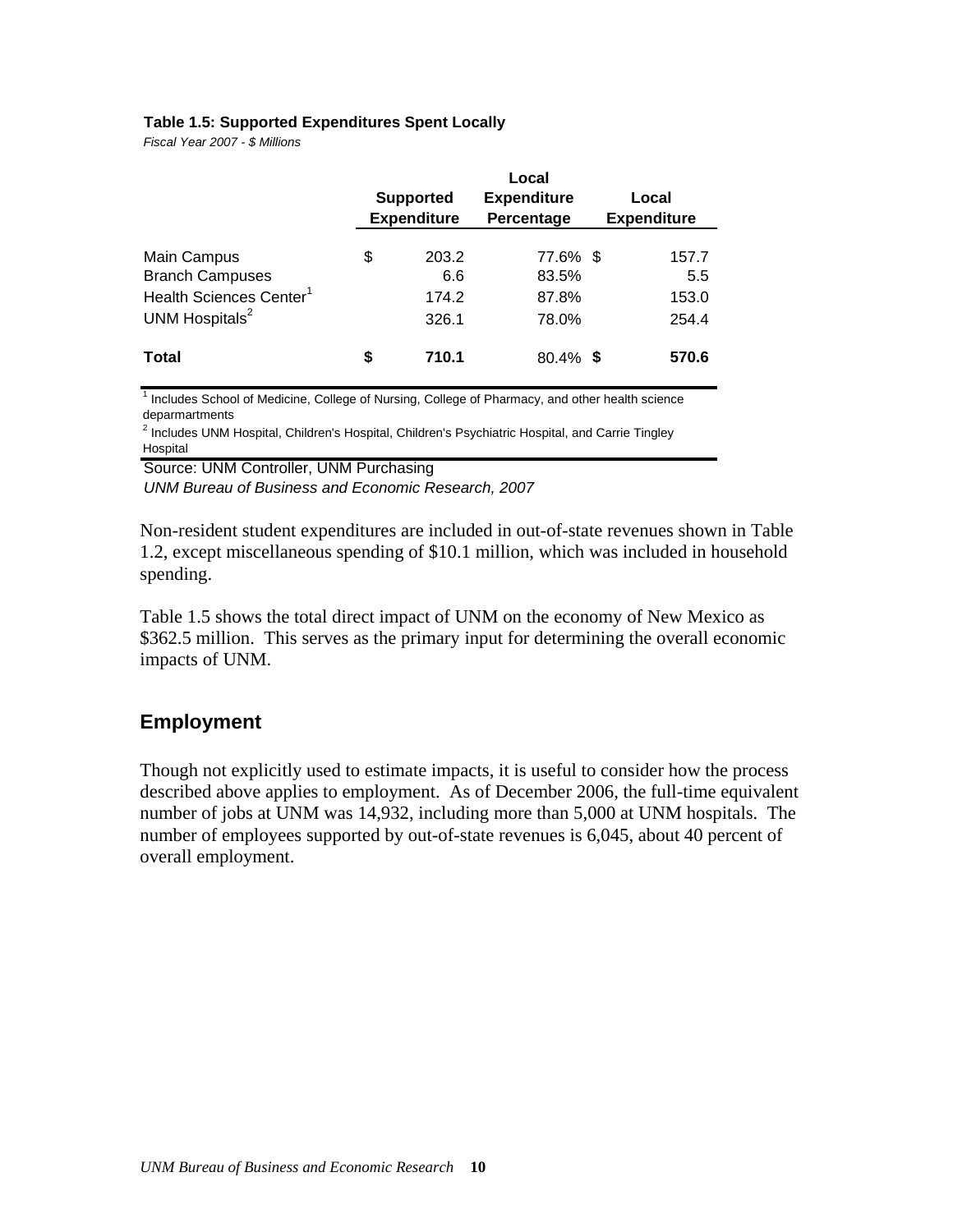#### <span id="page-14-0"></span>**Table 1.5: Supported Expenditures Spent Locally**

*Fiscal Year 2007 - \$ Millions*

|                                                                                                            | <b>Supported</b><br><b>Expenditure</b> |                                | Local<br><b>Expenditure</b><br>Percentage | Local<br><b>Expenditure</b> |                                |
|------------------------------------------------------------------------------------------------------------|----------------------------------------|--------------------------------|-------------------------------------------|-----------------------------|--------------------------------|
| Main Campus<br><b>Branch Campuses</b><br>Health Sciences Center <sup>1</sup><br>UNM Hospitals <sup>2</sup> | \$                                     | 203.2<br>6.6<br>174.2<br>326.1 | 77.6% \$<br>83.5%<br>87.8%<br>78.0%       |                             | 157.7<br>5.5<br>153.0<br>254.4 |
| <b>Total</b>                                                                                               | S                                      | 710.1                          | $80.4\%$ \$                               |                             | 570.6                          |

<sup>1</sup> Includes School of Medicine, College of Nursing, College of Pharmacy, and other health science deparmartments

<sup>2</sup> Includes UNM Hospital, Children's Hospital, Children's Psychiatric Hospital, and Carrie Tingley **Hospital** 

Source: UNM Controller, UNM Purchasing

*UNM Bureau of Business and Economic Research, 2007*

Non-resident student expenditures are included in out-of-state revenues shown in Table 1.2, except miscellaneous spending of \$10.1 million, which was included in household spending.

Table 1.5 shows the total direct impact of UNM on the economy of New Mexico as \$362.5 million. This serves as the primary input for determining the overall economic impacts of UNM.

### **Employment**

Though not explicitly used to estimate impacts, it is useful to consider how the process described above applies to employment. As of December 2006, the full-time equivalent number of jobs at UNM was 14,932, including more than 5,000 at UNM hospitals. The number of employees supported by out-of-state revenues is 6,045, about 40 percent of overall employment.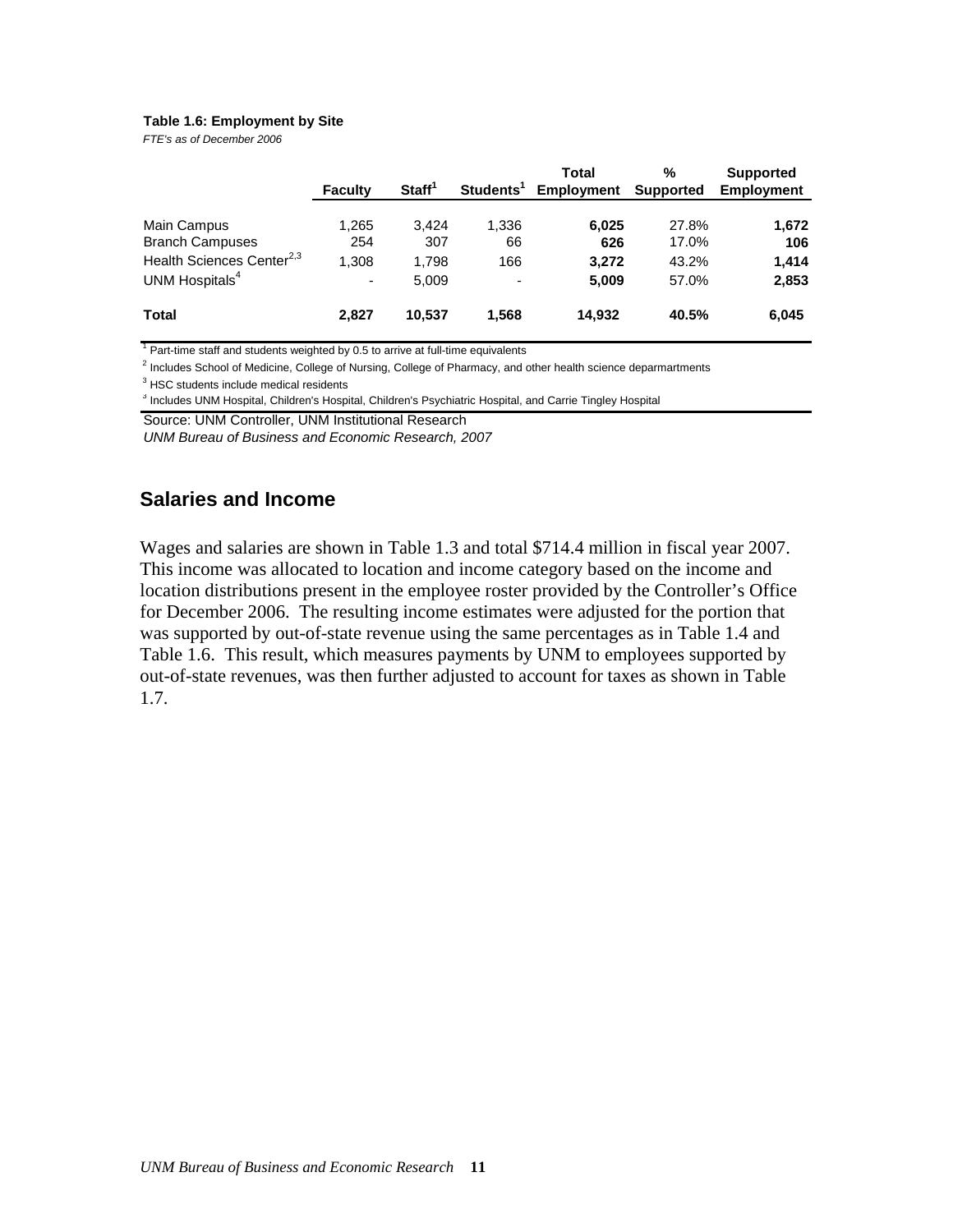#### <span id="page-15-0"></span>**Table 1.6: Employment by Site**

*FTE's as of December 2006*

|                                       | Faculty | Start <sup>1</sup> | Students <sup>1</sup> | Total<br><b>Employment</b> | %<br><b>Supported</b> | <b>Supported</b><br><b>Employment</b> |
|---------------------------------------|---------|--------------------|-----------------------|----------------------------|-----------------------|---------------------------------------|
| Main Campus                           | 1,265   | 3.424              | 1.336                 | 6,025                      | 27.8%                 | 1,672                                 |
| <b>Branch Campuses</b>                | 254     | 307                | 66                    | 626                        | 17.0%                 | 106                                   |
| Health Sciences Center <sup>2,3</sup> | 1,308   | 1,798              | 166                   | 3,272                      | 43.2%                 | 1,414                                 |
| UNM Hospitals <sup>4</sup>            | ٠       | 5,009              | ٠                     | 5,009                      | 57.0%                 | 2,853                                 |
| <b>Total</b>                          | 2.827   | 10.537             | 1.568                 | 14.932                     | 40.5%                 | 6,045                                 |

 $1$  Part-time staff and students weighted by 0.5 to arrive at full-time equivalents

<sup>2</sup> Includes School of Medicine, College of Nursing, College of Pharmacy, and other health science deparmartments

 $3$  HSC students include medical residents

<sup>3</sup> Includes UNM Hospital, Children's Hospital, Children's Psychiatric Hospital, and Carrie Tingley Hospital

Source: UNM Controller, UNM Institutional Research

*UNM Bureau of Business and Economic Research, 2007*

### **Salaries and Income**

Wages and salaries are shown in Table 1.3 and total \$714.4 million in fiscal year 2007. This income was allocated to location and income category based on the income and location distributions present in the employee roster provided by the Controller's Office for December 2006. The resulting income estimates were adjusted for the portion that was supported by out-of-state revenue using the same percentages as in Table 1.4 and Table 1.6. This result, which measures payments by UNM to employees supported by out-of-state revenues, was then further adjusted to account for taxes as shown in Table 1.7.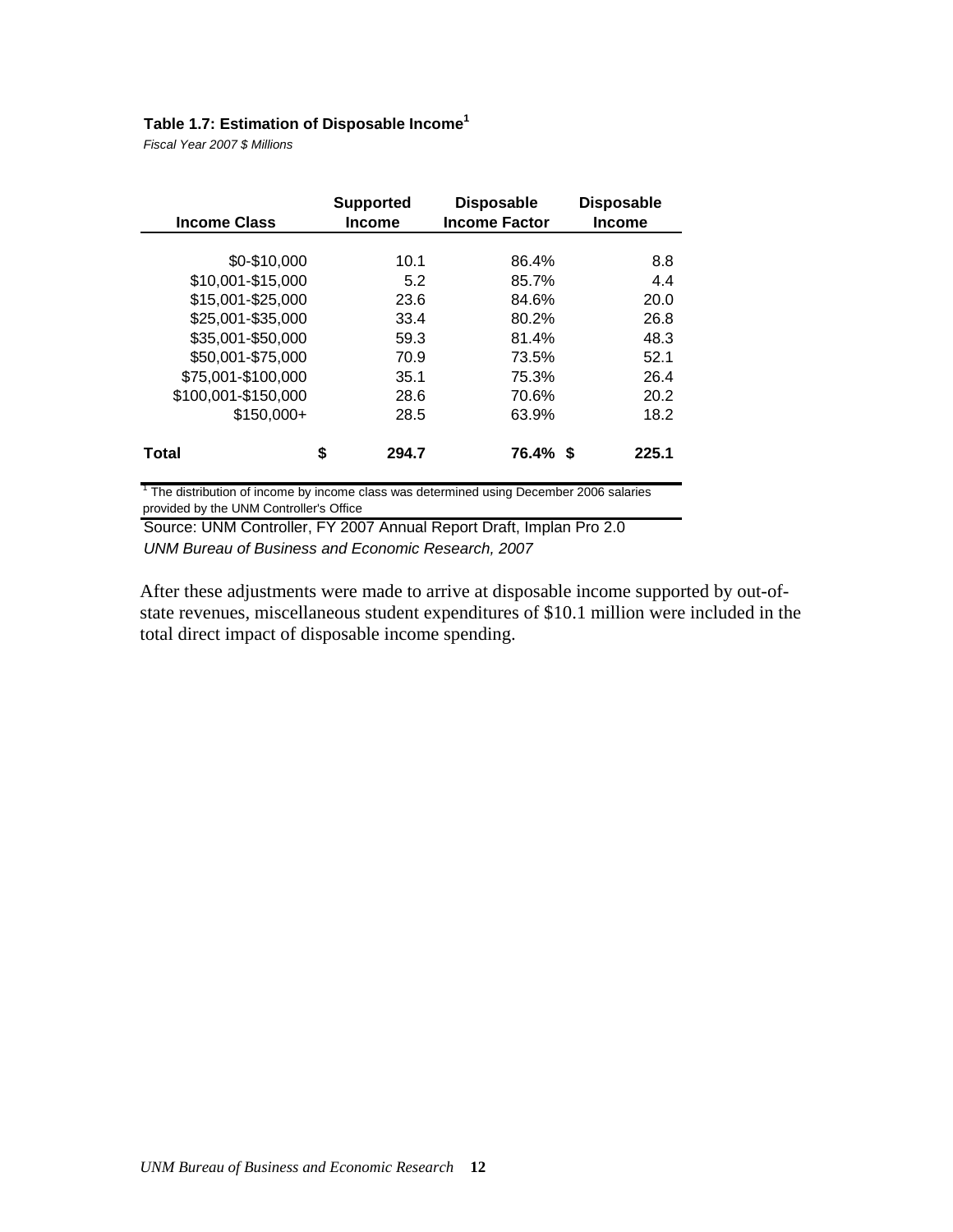## **Table 1.7: Estimation of Disposable Income<sup>1</sup>**

*Fiscal Year 2007 \$ Millions*

| <b>Income Class</b> | <b>Supported</b><br><b>Income</b> | <b>Disposable</b><br><b>Income Factor</b> | <b>Disposable</b><br><b>Income</b> |
|---------------------|-----------------------------------|-------------------------------------------|------------------------------------|
|                     |                                   |                                           |                                    |
| \$0-\$10,000        | 10.1                              | 86.4%                                     | 8.8                                |
| \$10,001-\$15,000   | 5.2                               | 85.7%                                     | 4.4                                |
| \$15,001-\$25,000   | 23.6                              | 84.6%                                     | 20.0                               |
| \$25,001-\$35,000   | 33.4                              | 80.2%                                     | 26.8                               |
| \$35,001-\$50,000   | 59.3                              | 81.4%                                     | 48.3                               |
| \$50,001-\$75,000   | 70.9                              | 73.5%                                     | 52.1                               |
| \$75,001-\$100,000  | 35.1                              | 75.3%                                     | 26.4                               |
| \$100,001-\$150,000 | 28.6                              | 70.6%                                     | 20.2                               |
| $$150.000+$         | 28.5                              | 63.9%                                     | 18.2                               |
| Total               | \$<br>294.7                       | 76.4% \$                                  | 225.1                              |

 $1$  The distribution of income by income class was determined using December 2006 salaries provided by the UNM Controller's Office

Source: UNM Controller, FY 2007 Annual Report Draft, Implan Pro 2.0 *UNM Bureau of Business and Economic Research, 2007*

After these adjustments were made to arrive at disposable income supported by out-ofstate revenues, miscellaneous student expenditures of \$10.1 million were included in the total direct impact of disposable income spending.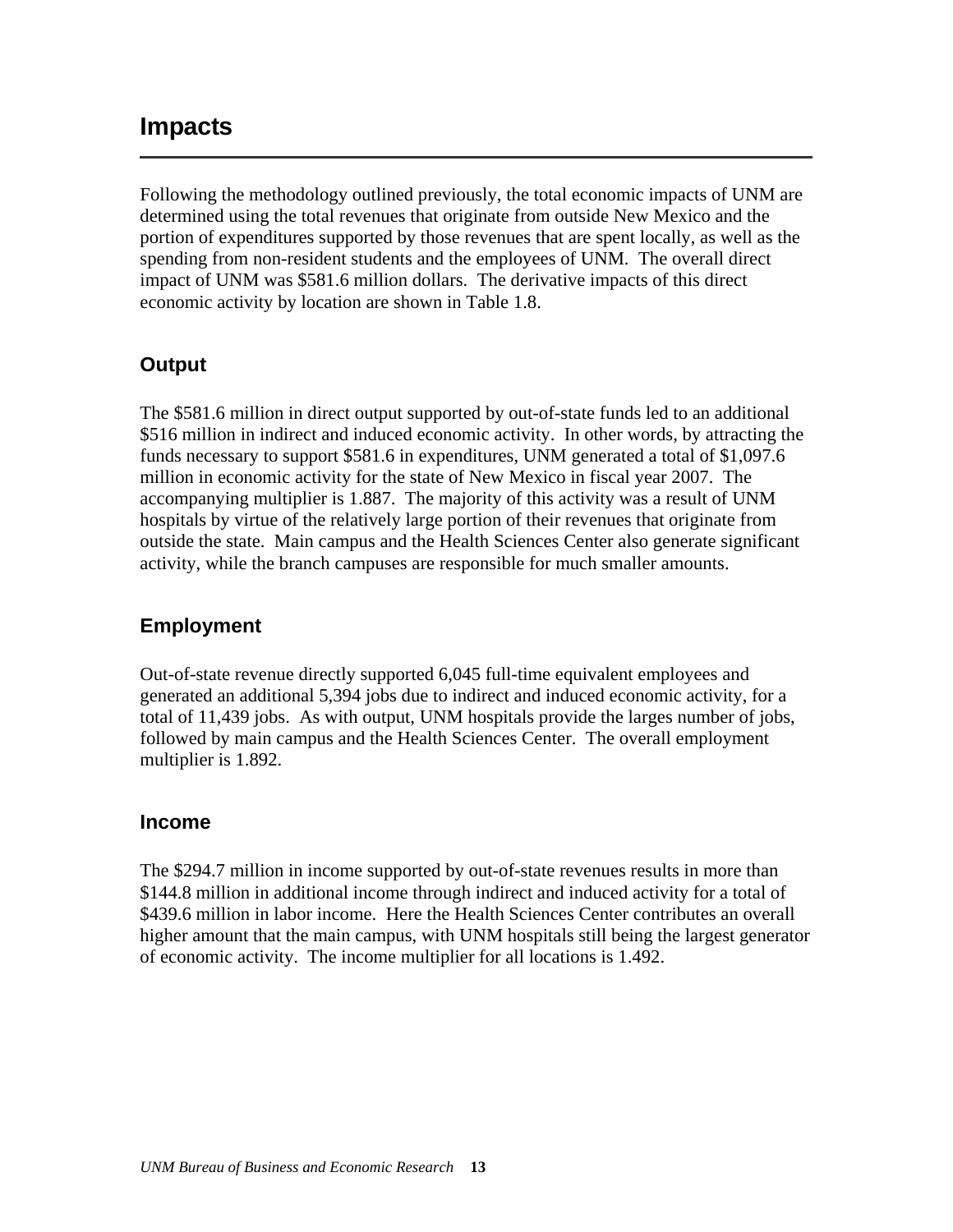## <span id="page-17-0"></span>**Impacts**

Following the methodology outlined previously, the total economic impacts of UNM are determined using the total revenues that originate from outside New Mexico and the portion of expenditures supported by those revenues that are spent locally, as well as the spending from non-resident students and the employees of UNM. The overall direct impact of UNM was \$581.6 million dollars. The derivative impacts of this direct economic activity by location are shown in Table 1.8.

## **Output**

The \$581.6 million in direct output supported by out-of-state funds led to an additional \$516 million in indirect and induced economic activity. In other words, by attracting the funds necessary to support \$581.6 in expenditures, UNM generated a total of \$1,097.6 million in economic activity for the state of New Mexico in fiscal year 2007. The accompanying multiplier is 1.887. The majority of this activity was a result of UNM hospitals by virtue of the relatively large portion of their revenues that originate from outside the state. Main campus and the Health Sciences Center also generate significant activity, while the branch campuses are responsible for much smaller amounts.

## **Employment**

Out-of-state revenue directly supported 6,045 full-time equivalent employees and generated an additional 5,394 jobs due to indirect and induced economic activity, for a total of 11,439 jobs. As with output, UNM hospitals provide the larges number of jobs, followed by main campus and the Health Sciences Center. The overall employment multiplier is 1.892.

### **Income**

The \$294.7 million in income supported by out-of-state revenues results in more than \$144.8 million in additional income through indirect and induced activity for a total of \$439.6 million in labor income. Here the Health Sciences Center contributes an overall higher amount that the main campus, with UNM hospitals still being the largest generator of economic activity. The income multiplier for all locations is 1.492.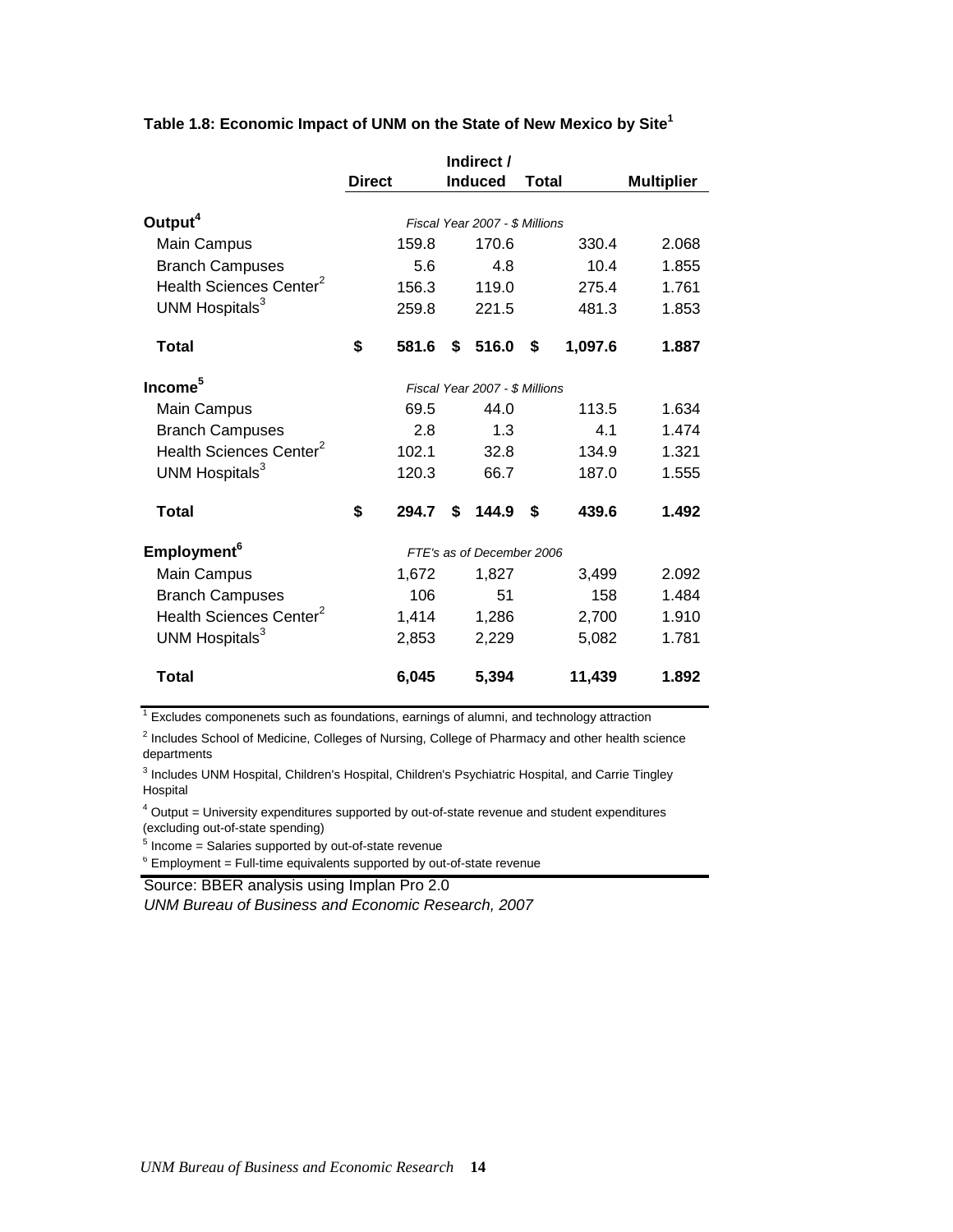|                                     | <b>Direct</b> | <b>Induced</b>                 | Total        | <b>Multiplier</b> |
|-------------------------------------|---------------|--------------------------------|--------------|-------------------|
| Output <sup>4</sup>                 |               | Fiscal Year 2007 - \$ Millions |              |                   |
| Main Campus                         | 159.8         | 170.6                          | 330.4        | 2.068             |
| <b>Branch Campuses</b>              | 5.6           | 4.8                            | 10.4         | 1.855             |
| Health Sciences Center <sup>2</sup> | 156.3         | 119.0                          | 275.4        | 1.761             |
| UNM Hospitals <sup>3</sup>          | 259.8         | 221.5                          | 481.3        | 1.853             |
| <b>Total</b>                        | \$<br>581.6   | 516.0<br>S                     | 1,097.6<br>S | 1.887             |
| Income <sup>5</sup>                 |               | Fiscal Year 2007 - \$ Millions |              |                   |
| Main Campus                         | 69.5          | 44.0                           | 113.5        | 1.634             |
| <b>Branch Campuses</b>              | 2.8           | 1.3                            | 4.1          | 1.474             |
| Health Sciences Center <sup>2</sup> | 102.1         | 32.8                           | 134.9        | 1.321             |
| UNM Hospitals <sup>3</sup>          | 120.3         | 66.7                           | 187.0        | 1.555             |
| <b>Total</b>                        | \$<br>294.7   | 144.9<br>\$                    | \$<br>439.6  | 1.492             |
| Employment <sup>6</sup>             |               | FTE's as of December 2006      |              |                   |
| Main Campus                         | 1,672         | 1,827                          | 3,499        | 2.092             |
| <b>Branch Campuses</b>              | 106           | 51                             | 158          | 1.484             |
| Health Sciences Center <sup>2</sup> | 1,414         | 1,286                          | 2,700        | 1.910             |
| UNM Hospitals <sup>3</sup>          | 2,853         | 2,229                          | 5,082        | 1.781             |
| <b>Total</b>                        | 6,045         | 5,394                          | 11,439       | 1.892             |

### **Table 1.8: Economic Impact of UNM on the State of New Mexico by Site1**

 $1$  Excludes componenets such as foundations, earnings of alumni, and technology attraction

<sup>2</sup> Includes School of Medicine, Colleges of Nursing, College of Pharmacy and other health science departments

<sup>3</sup> Includes UNM Hospital, Children's Hospital, Children's Psychiatric Hospital, and Carrie Tingley Hospital

 $4$  Output = University expenditures supported by out-of-state revenue and student expenditures (excluding out-of-state spending)

 $5$  Income = Salaries supported by out-of-state revenue

 $6$  Employment = Full-time equivalents supported by out-of-state revenue

Source: BBER analysis using Implan Pro 2.0

*UNM Bureau of Business and Economic Research, 2007*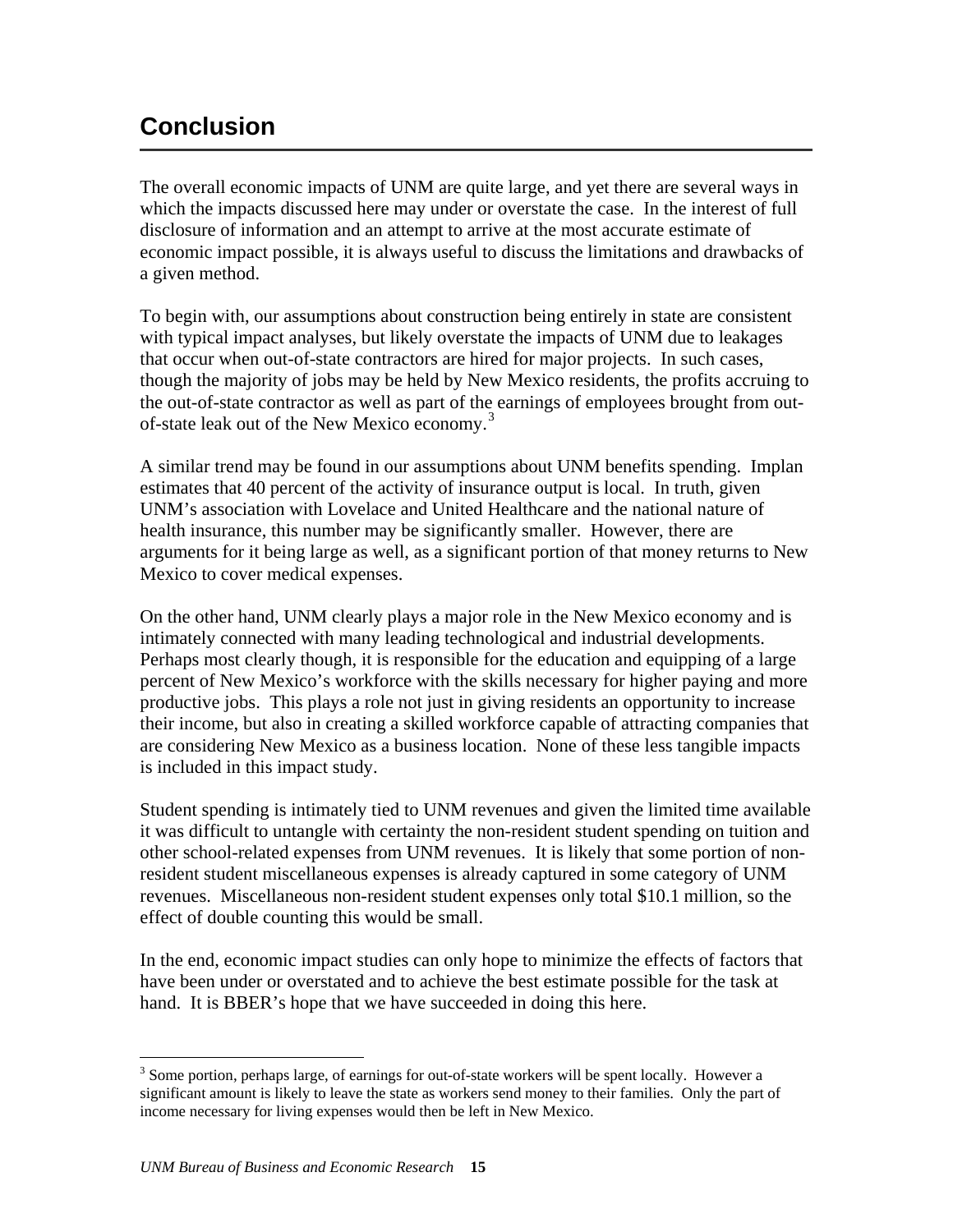## <span id="page-19-0"></span>**Conclusion**

The overall economic impacts of UNM are quite large, and yet there are several ways in which the impacts discussed here may under or overstate the case. In the interest of full disclosure of information and an attempt to arrive at the most accurate estimate of economic impact possible, it is always useful to discuss the limitations and drawbacks of a given method.

To begin with, our assumptions about construction being entirely in state are consistent with typical impact analyses, but likely overstate the impacts of UNM due to leakages that occur when out-of-state contractors are hired for major projects. In such cases, though the majority of jobs may be held by New Mexico residents, the profits accruing to the out-of-state contractor as well as part of the earnings of employees brought from out-of-state leak out of the New Mexico economy.<sup>[3](#page-19-1)</sup>

A similar trend may be found in our assumptions about UNM benefits spending. Implan estimates that 40 percent of the activity of insurance output is local. In truth, given UNM's association with Lovelace and United Healthcare and the national nature of health insurance, this number may be significantly smaller. However, there are arguments for it being large as well, as a significant portion of that money returns to New Mexico to cover medical expenses.

On the other hand, UNM clearly plays a major role in the New Mexico economy and is intimately connected with many leading technological and industrial developments. Perhaps most clearly though, it is responsible for the education and equipping of a large percent of New Mexico's workforce with the skills necessary for higher paying and more productive jobs. This plays a role not just in giving residents an opportunity to increase their income, but also in creating a skilled workforce capable of attracting companies that are considering New Mexico as a business location. None of these less tangible impacts is included in this impact study.

Student spending is intimately tied to UNM revenues and given the limited time available it was difficult to untangle with certainty the non-resident student spending on tuition and other school-related expenses from UNM revenues. It is likely that some portion of nonresident student miscellaneous expenses is already captured in some category of UNM revenues. Miscellaneous non-resident student expenses only total \$10.1 million, so the effect of double counting this would be small.

In the end, economic impact studies can only hope to minimize the effects of factors that have been under or overstated and to achieve the best estimate possible for the task at hand. It is BBER's hope that we have succeeded in doing this here.

<span id="page-19-1"></span> $\overline{a}$  $3$  Some portion, perhaps large, of earnings for out-of-state workers will be spent locally. However a significant amount is likely to leave the state as workers send money to their families. Only the part of income necessary for living expenses would then be left in New Mexico.